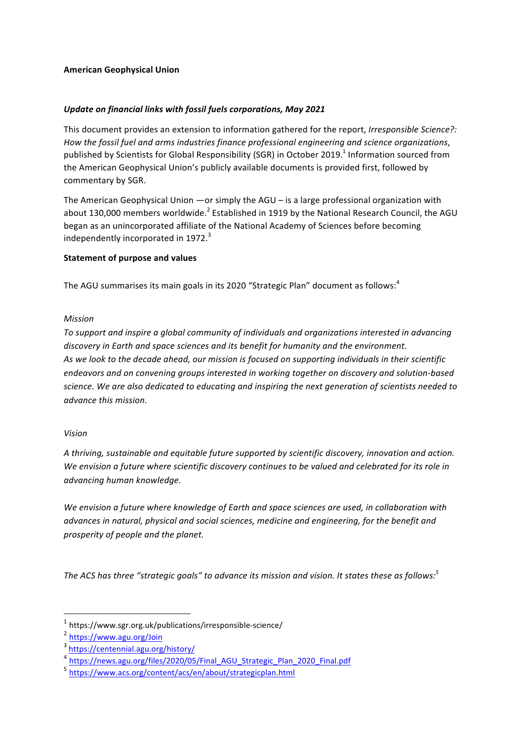### **American Geophysical Union**

## Update on financial links with fossil fuels corporations, May 2021

This document provides an extension to information gathered for the report, *Irresponsible Science?:* How the fossil fuel and arms industries finance professional engineering and science organizations, published by Scientists for Global Responsibility (SGR) in October 2019.<sup>1</sup> Information sourced from the American Geophysical Union's publicly available documents is provided first, followed by commentary by SGR.

The American Geophysical Union —or simply the AGU – is a large professional organization with about 130,000 members worldwide.<sup>2</sup> Established in 1919 by the National Research Council, the AGU began as an unincorporated affiliate of the National Academy of Sciences before becoming independently incorporated in  $1972.<sup>3</sup>$ 

#### **Statement of purpose and values**

The AGU summarises its main goals in its 2020 "Strategic Plan" document as follows:  $4$ 

#### *Mission*

To support and inspire a global community of individuals and organizations interested in advancing discovery in Earth and space sciences and its benefit for humanity and the environment. As we look to the decade ahead, our mission is focused on supporting individuals in their scientific endeavors and on convening groups interested in working together on discovery and solution-based science. We are also dedicated to educating and inspiring the next generation of scientists needed to *advance this mission.*

#### *Vision*

A thriving, sustainable and equitable future supported by scientific discovery, innovation and action. We envision a future where scientific discovery continues to be valued and celebrated for its role in *advancing human knowledge.*

We envision a future where knowledge of Earth and space sciences are used, in collaboration with *advances in natural, physical and social sciences, medicine and engineering, for the benefit and prosperity of people and the planet.*

The ACS has three "strategic goals" to advance its mission and vision. It states these as follows:<sup>5</sup>

 $1$  https://www.sgr.org.uk/publications/irresponsible-science/

<sup>2</sup> https://www.agu.org/Join

<sup>3</sup> https://centennial.agu.org/history/

<sup>4</sup> https://news.agu.org/files/2020/05/Final\_AGU\_Strategic\_Plan\_2020\_Final.pdf

<sup>5</sup> https://www.acs.org/content/acs/en/about/strategicplan.html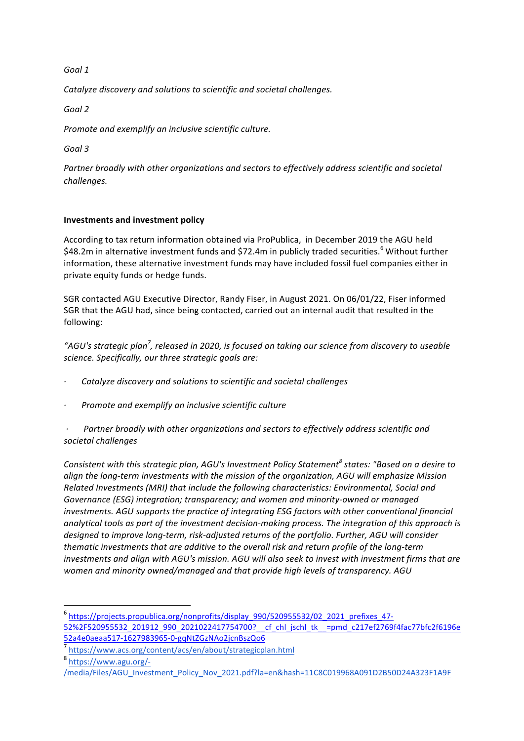# *Goal 1*

*Catalyze discovery and solutions to scientific and societal challenges.*

*Goal 2*

*Promote and exemplify an inclusive scientific culture.* 

*Goal 3*

Partner broadly with other organizations and sectors to effectively address scientific and societal *challenges.*

# **Investments and investment policy**

According to tax return information obtained via ProPublica, in December 2019 the AGU held \$48.2m in alternative investment funds and \$72.4m in publicly traded securities.<sup>6</sup> Without further information, these alternative investment funds may have included fossil fuel companies either in private equity funds or hedge funds.

SGR contacted AGU Executive Director, Randy Fiser, in August 2021, On 06/01/22, Fiser informed SGR that the AGU had, since being contacted, carried out an internal audit that resulted in the following:

"AGU's strategic plan<sup>7</sup>, released in 2020, is focused on taking our science from discovery to useable *science. Specifically, our three strategic goals are:*

- *· Catalyze discovery and solutions to scientific and societal challenges*
- *Promote and exemplify an inclusive scientific culture*

Partner broadly with other organizations and sectors to effectively address scientific and *societal challenges*

*Consistent with this strategic plan, AGU's Investment Policy Statement*<sup>8</sup> *states: "Based on a desire to align* the long-term investments with the mission of the organization, AGU will emphasize Mission *Related Investments (MRI) that include the following characteristics: Environmental, Social and* Governance (ESG) integration; transparency; and women and minority-owned or managed *investments.* AGU supports the practice of integrating ESG factors with other conventional financial analytical tools as part of the investment decision-making process. The integration of this approach is designed to improve long-term, risk-adjusted returns of the portfolio. Further, AGU will consider *thematic investments that are additive to the overall risk and return profile of the long-term* investments and align with AGU's mission. AGU will also seek to invest with investment firms that are *women and minority owned/managed and that provide high levels of transparency.* AGU

<sup>8</sup> https://www.agu.org/-

<sup>6</sup> https://projects.propublica.org/nonprofits/display\_990/520955532/02\_2021\_prefixes\_47- 52%2F520955532\_201912\_990\_2021022417754700?\_\_cf\_chl\_jschl\_tk\_\_=pmd\_c217ef2769f4fac77bfc2f6196e 52a4e0aeaa517-1627983965-0-gqNtZGzNAo2jcnBszQo6

<sup>7</sup> https://www.acs.org/content/acs/en/about/strategicplan.html

<sup>/</sup>media/Files/AGU\_Investment\_Policy\_Nov\_2021.pdf?la=en&hash=11C8C019968A091D2B50D24A323F1A9F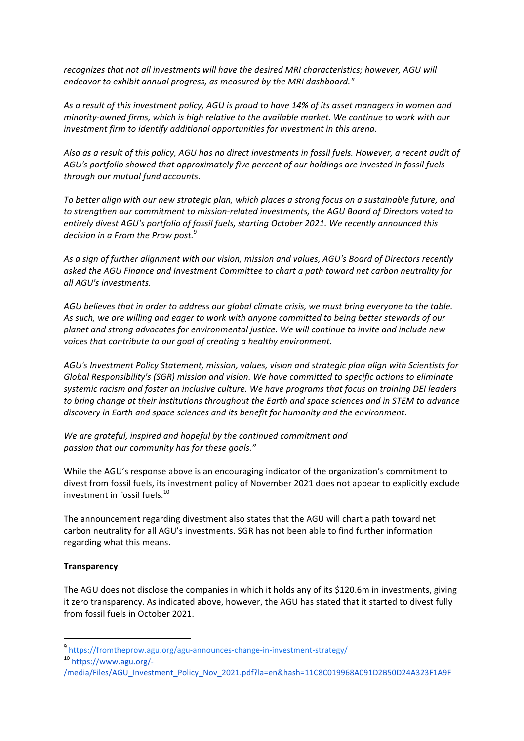recognizes that not all investments will have the desired MRI characteristics; however, AGU will endeavor to exhibit annual progress, as measured by the MRI dashboard."

As a result of this investment policy, AGU is proud to have 14% of its asset managers in women and *minority-owned firms, which is high relative to the available market. We continue to work with our investment firm to identify additional opportunities for investment in this arena.* 

Also as a result of this policy, AGU has no direct investments in fossil fuels. However, a recent audit of *AGU's portfolio showed that approximately five percent of our holdings are invested in fossil fuels through our mutual fund accounts.*

To better alian with our new strategic plan, which places a strong focus on a sustainable future, and to strengthen our commitment to mission-related investments, the AGU Board of Directors voted to entirely divest AGU's portfolio of fossil fuels, starting October 2021. We recently announced this decision in a From the Prow post.<sup>9</sup>

As a sign of further alignment with our vision, mission and values, AGU's Board of Directors recently asked the AGU Finance and Investment Committee to chart a path toward net carbon neutrality for *all AGU's investments.*

AGU believes that in order to address our global climate crisis, we must bring everyone to the table. As such, we are willing and eager to work with anyone committed to being better stewards of our planet and strong advocates for environmental justice. We will continue to invite and include new voices that contribute to our goal of creating a healthy environment.

AGU's Investment Policy Statement, mission, values, vision and strategic plan align with Scientists for Global Responsibility's (SGR) mission and vision. We have committed to specific actions to eliminate systemic racism and foster an inclusive culture. We have programs that focus on training DEI leaders to bring change at their institutions throughout the Earth and space sciences and in STEM to advance *discovery* in Earth and space sciences and its benefit for humanity and the environment.

We are grateful, inspired and hopeful by the continued commitment and passion that our community has for these goals."

While the AGU's response above is an encouraging indicator of the organization's commitment to divest from fossil fuels, its investment policy of November 2021 does not appear to explicitly exclude investment in fossil fuels.<sup>10</sup>

The announcement regarding divestment also states that the AGU will chart a path toward net carbon neutrality for all AGU's investments. SGR has not been able to find further information regarding what this means.

#### **Transparency**

The AGU does not disclose the companies in which it holds any of its \$120.6m in investments, giving it zero transparency. As indicated above, however, the AGU has stated that it started to divest fully from fossil fuels in October 2021

<sup>9</sup> https://fromtheprow.agu.org/agu-announces-change-in-investment-strategy/

<sup>10</sup> https://www.agu.org/-

<sup>/</sup>media/Files/AGU\_Investment\_Policy\_Nov\_2021.pdf?la=en&hash=11C8C019968A091D2B50D24A323F1A9F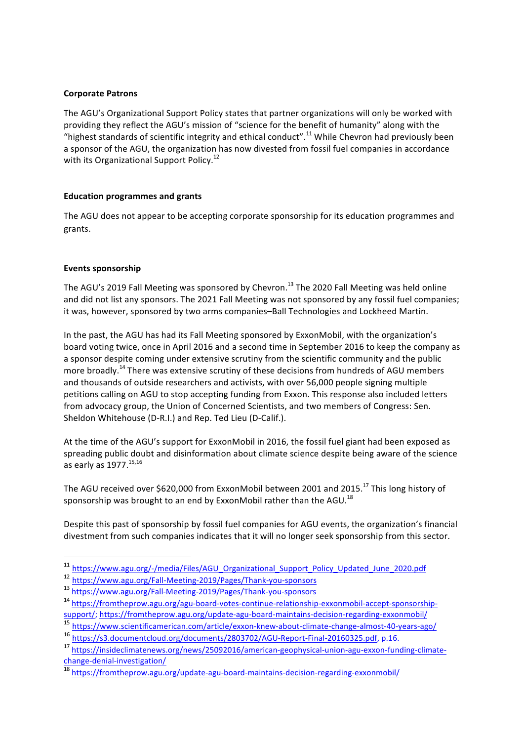### **Corporate Patrons**

The AGU's Organizational Support Policy states that partner organizations will only be worked with providing they reflect the AGU's mission of "science for the benefit of humanity" along with the "highest standards of scientific integrity and ethical conduct".<sup>11</sup> While Chevron had previously been a sponsor of the AGU, the organization has now divested from fossil fuel companies in accordance with its Organizational Support Policy.<sup>12</sup>

### **Education programmes and grants**

The AGU does not appear to be accepting corporate sponsorship for its education programmes and grants. 

### **Events sponsorship**

The AGU's 2019 Fall Meeting was sponsored by Chevron.<sup>13</sup> The 2020 Fall Meeting was held online and did not list any sponsors. The 2021 Fall Meeting was not sponsored by any fossil fuel companies; it was, however, sponsored by two arms companies-Ball Technologies and Lockheed Martin.

In the past, the AGU has had its Fall Meeting sponsored by ExxonMobil, with the organization's board voting twice, once in April 2016 and a second time in September 2016 to keep the company as a sponsor despite coming under extensive scrutiny from the scientific community and the public more broadly.<sup>14</sup> There was extensive scrutiny of these decisions from hundreds of AGU members and thousands of outside researchers and activists, with over 56,000 people signing multiple petitions calling on AGU to stop accepting funding from Exxon. This response also included letters from advocacy group, the Union of Concerned Scientists, and two members of Congress: Sen. Sheldon Whitehouse (D-R.I.) and Rep. Ted Lieu (D-Calif.).

At the time of the AGU's support for ExxonMobil in 2016, the fossil fuel giant had been exposed as spreading public doubt and disinformation about climate science despite being aware of the science as early as  $1977.<sup>15,16</sup>$ 

The AGU received over \$620,000 from ExxonMobil between 2001 and 2015.<sup>17</sup> This long history of sponsorship was brought to an end by ExxonMobil rather than the AGU.<sup>18</sup>

Despite this past of sponsorship by fossil fuel companies for AGU events, the organization's financial divestment from such companies indicates that it will no longer seek sponsorship from this sector.

<sup>11</sup> https://www.agu.org/-/media/Files/AGU\_Organizational\_Support\_Policy\_Updated\_June\_2020.pdf

<sup>12</sup> https://www.agu.org/Fall-Meeting-2019/Pages/Thank-you-sponsors

<sup>13</sup> https://www.agu.org/Fall-Meeting-2019/Pages/Thank-you-sponsors

<sup>14</sup> https://fromtheprow.agu.org/agu-board-votes-continue-relationship-exxonmobil-accept-sponsorshipsupport/; https://fromtheprow.agu.org/update-agu-board-maintains-decision-regarding-exxonmobil/

<sup>15</sup> https://www.scientificamerican.com/article/exxon-knew-about-climate-change-almost-40-years-ago/

<sup>&</sup>lt;sup>16</sup> https://s3.documentcloud.org/documents/2803702/AGU-Report-Final-20160325.pdf, p.16.

<sup>17</sup> https://insideclimatenews.org/news/25092016/american-geophysical-union-agu-exxon-funding-climatechange-denial-investigation/

<sup>18</sup> https://fromtheprow.agu.org/update-agu-board-maintains-decision-regarding-exxonmobil/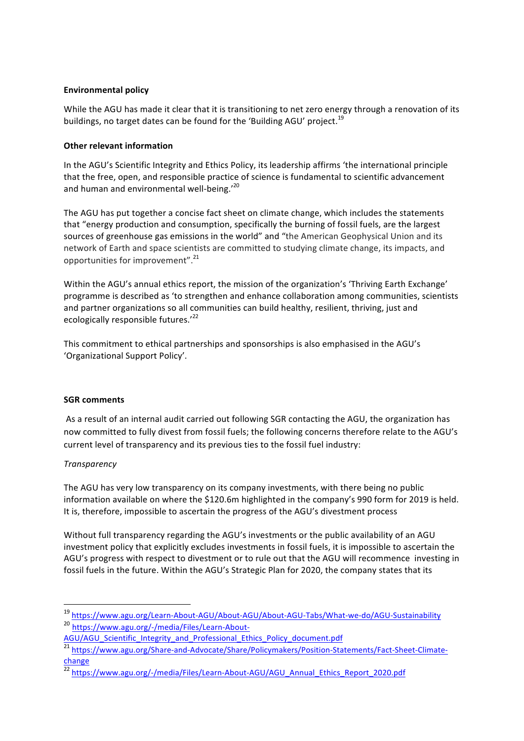## **Environmental policy**

While the AGU has made it clear that it is transitioning to net zero energy through a renovation of its buildings, no target dates can be found for the 'Building AGU' project.<sup>19</sup>

### **Other relevant information**

In the AGU's Scientific Integrity and Ethics Policy, its leadership affirms 'the international principle that the free, open, and responsible practice of science is fundamental to scientific advancement and human and environmental well-being.'20

The AGU has put together a concise fact sheet on climate change, which includes the statements that "energy production and consumption, specifically the burning of fossil fuels, are the largest sources of greenhouse gas emissions in the world" and "the American Geophysical Union and its network of Earth and space scientists are committed to studying climate change, its impacts, and opportunities for improvement".<sup>21</sup>

Within the AGU's annual ethics report, the mission of the organization's 'Thriving Earth Exchange' programme is described as 'to strengthen and enhance collaboration among communities, scientists and partner organizations so all communities can build healthy, resilient, thriving, just and ecologically responsible futures. $122$ 

This commitment to ethical partnerships and sponsorships is also emphasised in the AGU's 'Organizational Support Policy'.

#### **SGR** comments

As a result of an internal audit carried out following SGR contacting the AGU, the organization has now committed to fully divest from fossil fuels; the following concerns therefore relate to the AGU's current level of transparency and its previous ties to the fossil fuel industry:

# *Transparency*

The AGU has very low transparency on its company investments, with there being no public information available on where the \$120.6m highlighted in the company's 990 form for 2019 is held. It is, therefore, impossible to ascertain the progress of the AGU's divestment process

Without full transparency regarding the AGU's investments or the public availability of an AGU investment policy that explicitly excludes investments in fossil fuels, it is impossible to ascertain the AGU's progress with respect to divestment or to rule out that the AGU will recommence investing in fossil fuels in the future. Within the AGU's Strategic Plan for 2020, the company states that its

<sup>19</sup> https://www.agu.org/Learn-About-AGU/About-AGU/About-AGU-Tabs/What-we-do/AGU-Sustainability

<sup>20</sup> https://www.agu.org/-/media/Files/Learn-About-

AGU/AGU\_Scientific\_Integrity\_and\_Professional\_Ethics\_Policy\_document.pdf

<sup>&</sup>lt;sup>21</sup> https://www.agu.org/Share-and-Advocate/Share/Policymakers/Position-Statements/Fact-Sheet-Climatechange

<sup>22</sup> https://www.agu.org/-/media/Files/Learn-About-AGU/AGU\_Annual\_Ethics\_Report\_2020.pdf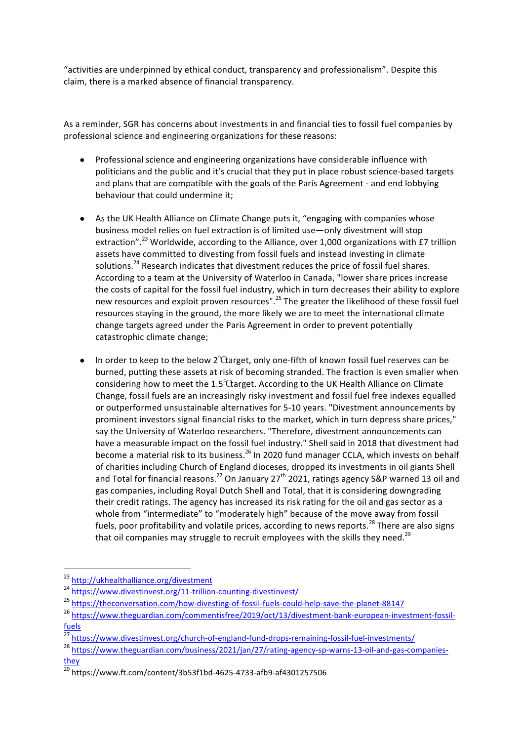"activities are underpinned by ethical conduct, transparency and professionalism". Despite this claim, there is a marked absence of financial transparency.

As a reminder, SGR has concerns about investments in and financial ties to fossil fuel companies by professional science and engineering organizations for these reasons:

- Professional science and engineering organizations have considerable influence with politicians and the public and it's crucial that they put in place robust science-based targets and plans that are compatible with the goals of the Paris Agreement - and end lobbying behaviour that could undermine it:
- As the UK Health Alliance on Climate Change puts it, "engaging with companies whose business model relies on fuel extraction is of limited use—only divestment will stop extraction".<sup>23</sup> Worldwide, according to the Alliance, over 1,000 organizations with £7 trillion assets have committed to divesting from fossil fuels and instead investing in climate solutions.<sup>24</sup> Research indicates that divestment reduces the price of fossil fuel shares. According to a team at the University of Waterloo in Canada, "lower share prices increase the costs of capital for the fossil fuel industry, which in turn decreases their ability to explore new resources and exploit proven resources".<sup>25</sup> The greater the likelihood of these fossil fuel resources staying in the ground, the more likely we are to meet the international climate change targets agreed under the Paris Agreement in order to prevent potentially catastrophic climate change;
- In order to keep to the below 2<sup>°</sup> $\alpha$ arget, only one-fifth of known fossil fuel reserves can be burned, putting these assets at risk of becoming stranded. The fraction is even smaller when considering how to meet the  $1.5^{\circ}$ Carget. According to the UK Health Alliance on Climate Change, fossil fuels are an increasingly risky investment and fossil fuel free indexes equalled or outperformed unsustainable alternatives for 5-10 years. "Divestment announcements by prominent investors signal financial risks to the market, which in turn depress share prices," say the University of Waterloo researchers. "Therefore, divestment announcements can have a measurable impact on the fossil fuel industry." Shell said in 2018 that divestment had become a material risk to its business.<sup>26</sup> In 2020 fund manager CCLA, which invests on behalf of charities including Church of England dioceses, dropped its investments in oil giants Shell and Total for financial reasons.<sup>27</sup> On January 27<sup>th</sup> 2021, ratings agency S&P warned 13 oil and gas companies, including Royal Dutch Shell and Total, that it is considering downgrading their credit ratings. The agency has increased its risk rating for the oil and gas sector as a whole from "intermediate" to "moderately high" because of the move away from fossil fuels, poor profitability and volatile prices, according to news reports.<sup>28</sup> There are also signs that oil companies may struggle to recruit employees with the skills they need.<sup>29</sup>

<sup>23</sup> http://ukhealthalliance.org/divestment

<sup>&</sup>lt;sup>24</sup> https://www.divestinvest.org/11-trillion-counting-divestinvest/

<sup>25</sup> https://theconversation.com/how-divesting-of-fossil-fuels-could-help-save-the-planet-88147

<sup>&</sup>lt;sup>26</sup> https://www.theguardian.com/commentisfree/2019/oct/13/divestment-bank-european-investment-fossilfuels

<sup>&</sup>lt;sup>27</sup> https://www.divestinvest.org/church-of-england-fund-drops-remaining-fossil-fuel-investments/

<sup>28</sup> https://www.theguardian.com/business/2021/jan/27/rating-agency-sp-warns-13-oil-and-gas-companiesthey

 $\frac{29}{29}$  https://www.ft.com/content/3b53f1bd-4625-4733-afb9-af4301257506